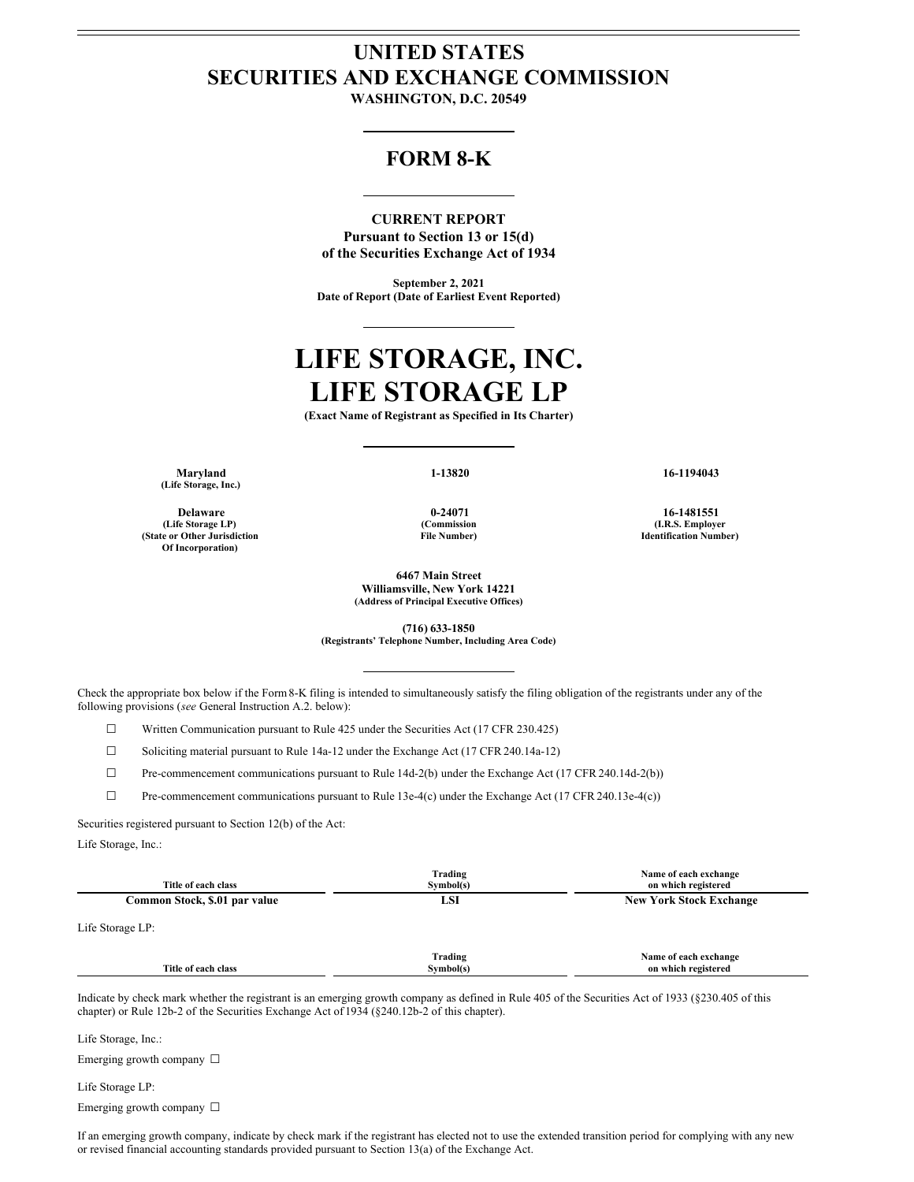# **UNITED STATES SECURITIES AND EXCHANGE COMMISSION**

**WASHINGTON, D.C. 20549**

# **FORM 8-K**

# **CURRENT REPORT**

**Pursuant to Section 13 or 15(d) of the Securities Exchange Act of 1934**

**September 2, 2021 Date of Report (Date of Earliest Event Reported)**

# **LIFE STORAGE, INC. LIFE STORAGE LP**

**(Exact Name of Registrant as Specified in Its Charter)**

**Maryland 1-13820 16-1194043 (Life Storage, Inc.)**

**(Life Storage LP) (State or Other Jurisdiction Of Incorporation)**

**(Commission File Number)**

**6467 Main Street Williamsville, New York 14221 (Address of Principal Executive Offices)**

**(716) 633-1850 (Registrants' Telephone Number, Including Area Code)**

Check the appropriate box below if the Form8-K filing is intended to simultaneously satisfy the filing obligation of the registrants under any of the following provisions (*see* General Instruction A.2. below):

☐ Written Communication pursuant to Rule 425 under the Securities Act (17 CFR 230.425)

☐ Soliciting material pursuant to Rule 14a-12 under the Exchange Act (17 CFR 240.14a-12)

☐ Pre-commencement communications pursuant to Rule 14d-2(b) under the Exchange Act (17 CFR 240.14d-2(b))

☐ Pre-commencement communications pursuant to Rule 13e-4(c) under the Exchange Act (17 CFR 240.13e-4(c))

Securities registered pursuant to Section 12(b) of the Act:

Life Storage, Inc.:

| Title of each class           | Trading<br>Symbol(s) | Name of each exchange<br>on which registered<br><b>New York Stock Exchange</b> |  |
|-------------------------------|----------------------|--------------------------------------------------------------------------------|--|
| Common Stock, \$.01 par value | LSI                  |                                                                                |  |
| Life Storage LP:              |                      |                                                                                |  |
| Title of each class           | Trading<br>Symbol(s) | Name of each exchange<br>on which registered                                   |  |

Indicate by check mark whether the registrant is an emerging growth company as defined in Rule 405 of the Securities Act of 1933 (§230.405 of this chapter) or Rule 12b-2 of the Securities Exchange Act of 1934 (§240.12b-2 of this chapter).

Life Storage, Inc.:

Emerging growth company □

Life Storage LP:

Emerging growth company □

If an emerging growth company, indicate by check mark if the registrant has elected not to use the extended transition period for complying with any new or revised financial accounting standards provided pursuant to Section 13(a) of the Exchange Act.

**Delaware 0-24071 16-1481551 (I.R.S. Employer Identification Number)**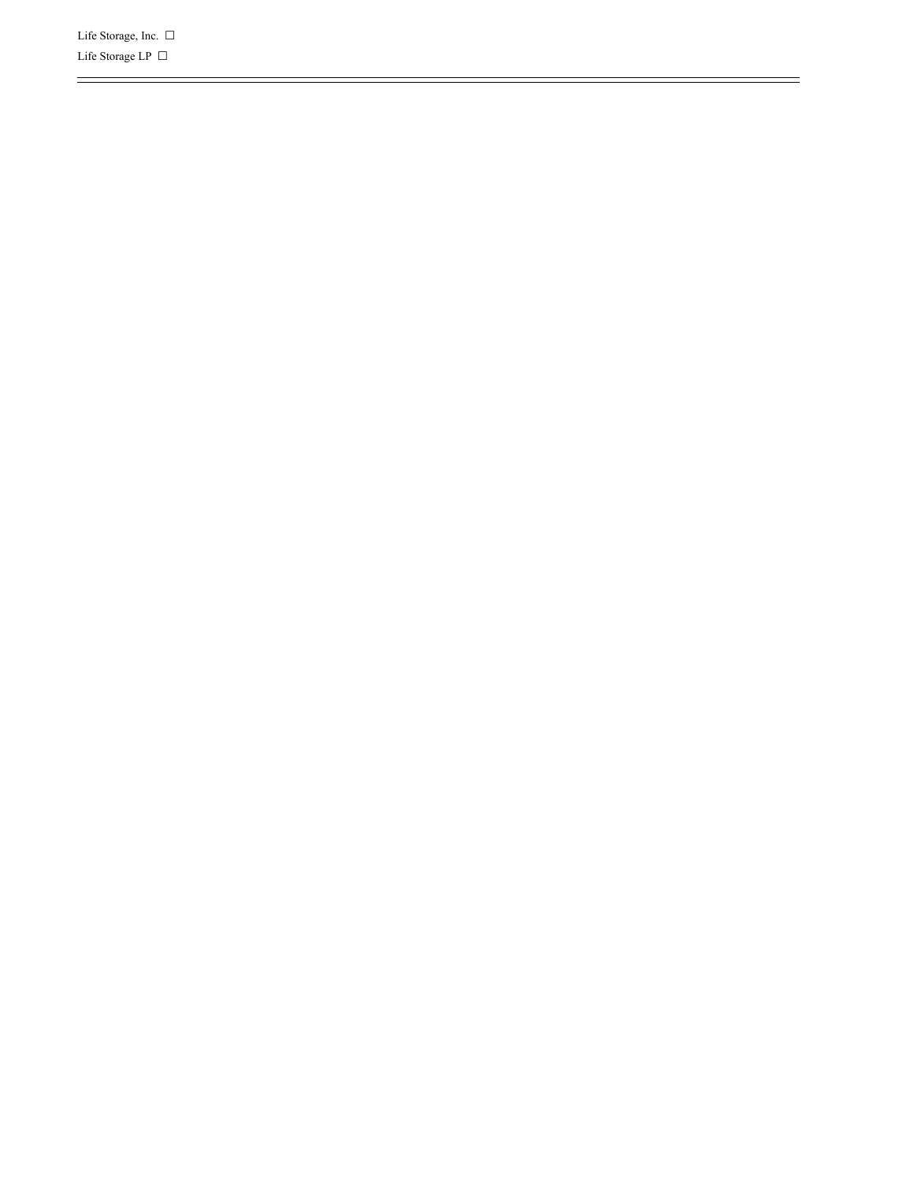Life Storage, Inc.  $\Box$ Life Storage LP  $\ \Box$ 

=

 $\frac{1}{2}$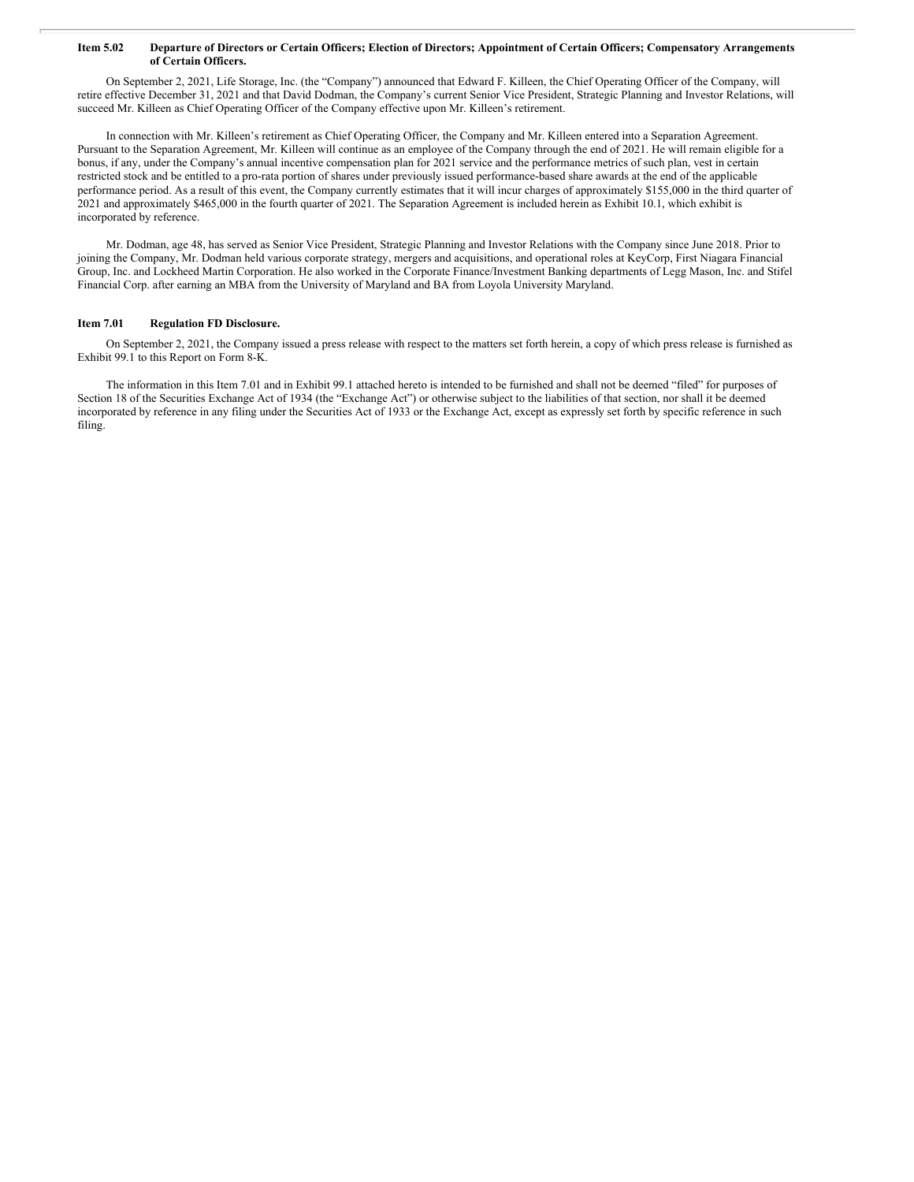#### Item 5.02 Departure of Directors or Certain Officers; Election of Directors; Appointment of Certain Officers; Compensatory Arrangements **of Certain Officers.**

On September 2, 2021, Life Storage, Inc. (the "Company") announced that Edward F. Killeen, the Chief Operating Officer of the Company, will retire effective December 31, 2021 and that David Dodman, the Company's current Senior Vice President, Strategic Planning and Investor Relations, will succeed Mr. Killeen as Chief Operating Officer of the Company effective upon Mr. Killeen's retirement.

In connection with Mr. Killeen's retirement as Chief Operating Officer, the Company and Mr. Killeen entered into a Separation Agreement. Pursuant to the Separation Agreement, Mr. Killeen will continue as an employee of the Company through the end of 2021. He will remain eligible for a bonus, if any, under the Company's annual incentive compensation plan for 2021 service and the performance metrics of such plan, vest in certain restricted stock and be entitled to a pro-rata portion of shares under previously issued performance-based share awards at the end of the applicable performance period. As a result of this event, the Company currently estimates that it will incur charges of approximately \$155,000 in the third quarter of 2021 and approximately \$465,000 in the fourth quarter of 2021. The Separation Agreement is included herein as Exhibit 10.1, which exhibit is incorporated by reference.

Mr. Dodman, age 48, has served as Senior Vice President, Strategic Planning and Investor Relations with the Company since June 2018. Prior to joining the Company, Mr. Dodman held various corporate strategy, mergers and acquisitions, and operational roles at KeyCorp, First Niagara Financial Group, Inc. and Lockheed Martin Corporation. He also worked in the Corporate Finance/Investment Banking departments of Legg Mason, Inc. and Stifel Financial Corp. after earning an MBA from the University of Maryland and BA from Loyola University Maryland.

#### **Item 7.01 Regulation FD Disclosure.**

On September 2, 2021, the Company issued a press release with respect to the matters set forth herein, a copy of which press release is furnished as Exhibit 99.1 to this Report on Form 8-K.

The information in this Item 7.01 and in Exhibit 99.1 attached hereto is intended to be furnished and shall not be deemed "filed" for purposes of Section 18 of the Securities Exchange Act of 1934 (the "Exchange Act") or otherwise subject to the liabilities of that section, nor shall it be deemed incorporated by reference in any filing under the Securities Act of 1933 or the Exchange Act, except as expressly set forth by specific reference in such filing.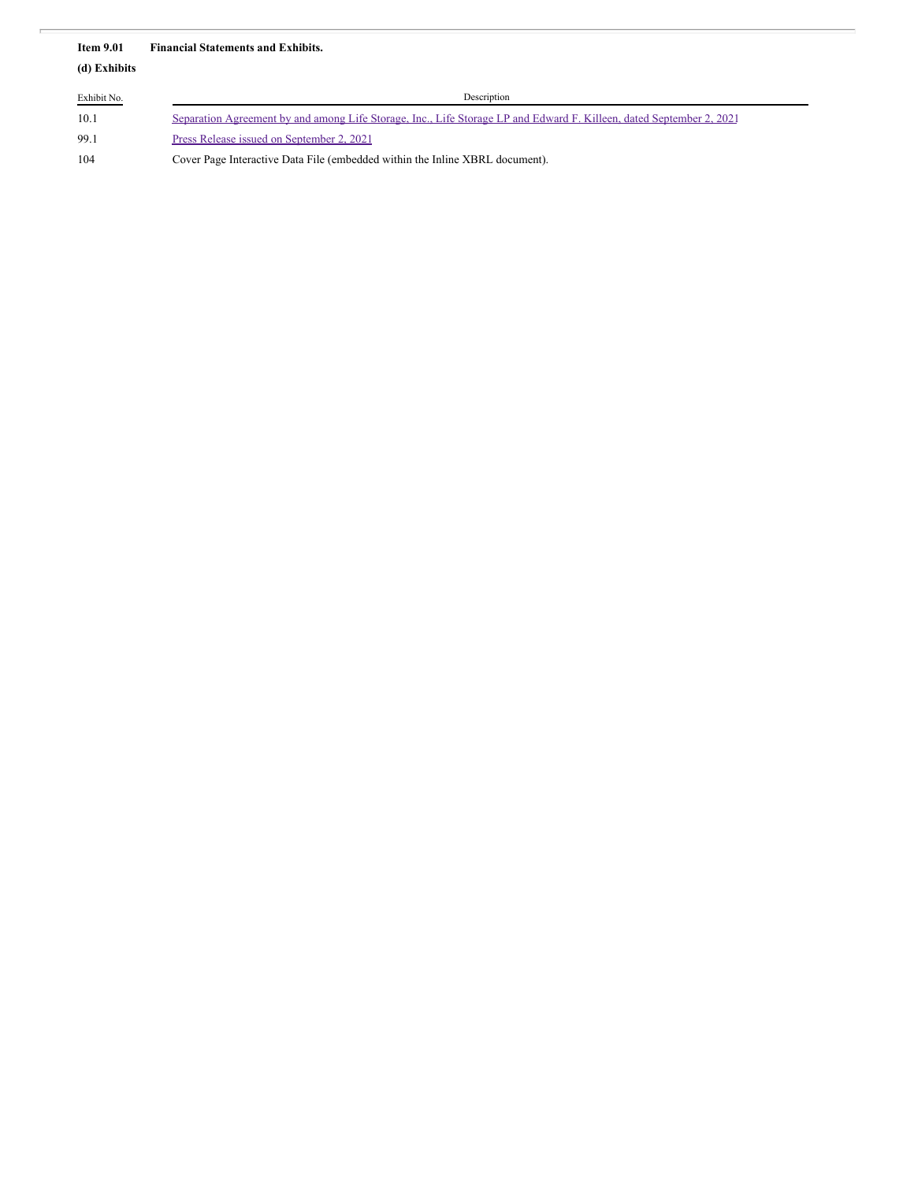#### **Item 9.01 Financial Statements and Exhibits.**

**(d) Exhibits**

| Exhibit No. | Description                                                                                                          |  |  |  |
|-------------|----------------------------------------------------------------------------------------------------------------------|--|--|--|
| 10.1        | Separation Agreement by and among Life Storage, Inc., Life Storage LP and Edward F. Killeen, dated September 2, 2021 |  |  |  |
| 99.1        | Press Release issued on September 2, 2021                                                                            |  |  |  |
| 104         | Cover Page Interactive Data File (embedded within the Inline XBRL document).                                         |  |  |  |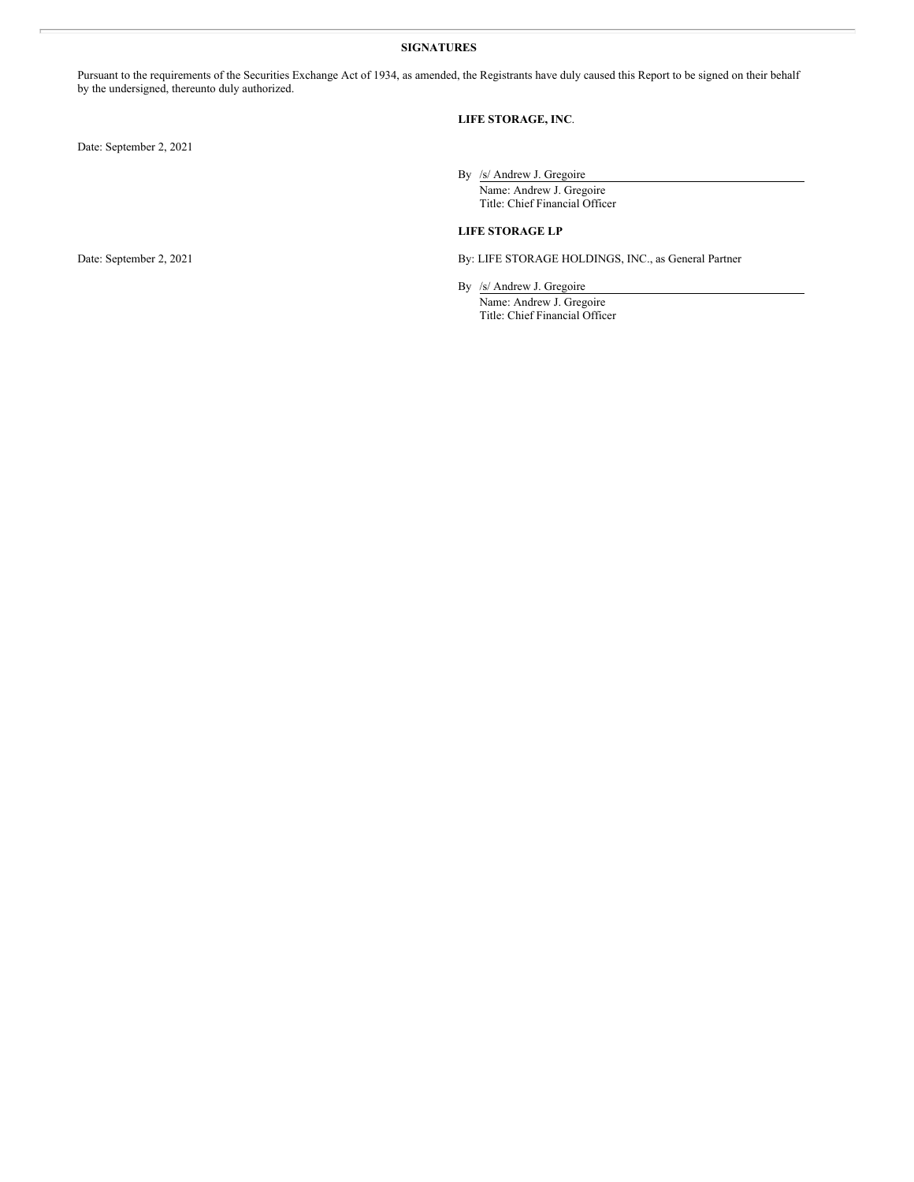#### **SIGNATURES**

Pursuant to the requirements of the Securities Exchange Act of 1934, as amended, the Registrants have duly caused this Report to be signed on their behalf by the undersigned, thereunto duly authorized.

## **LIFE STORAGE, INC**.

Date: September 2, 2021

By /s/ Andrew J. Gregoire Name: Andrew J. Gregoire Title: Chief Financial Officer

## **LIFE STORAGE LP**

Date: September 2, 2021 By: LIFE STORAGE HOLDINGS, INC., as General Partner

By /s/ Andrew J. Gregoire Name: Andrew J. Gregoire Title: Chief Financial Officer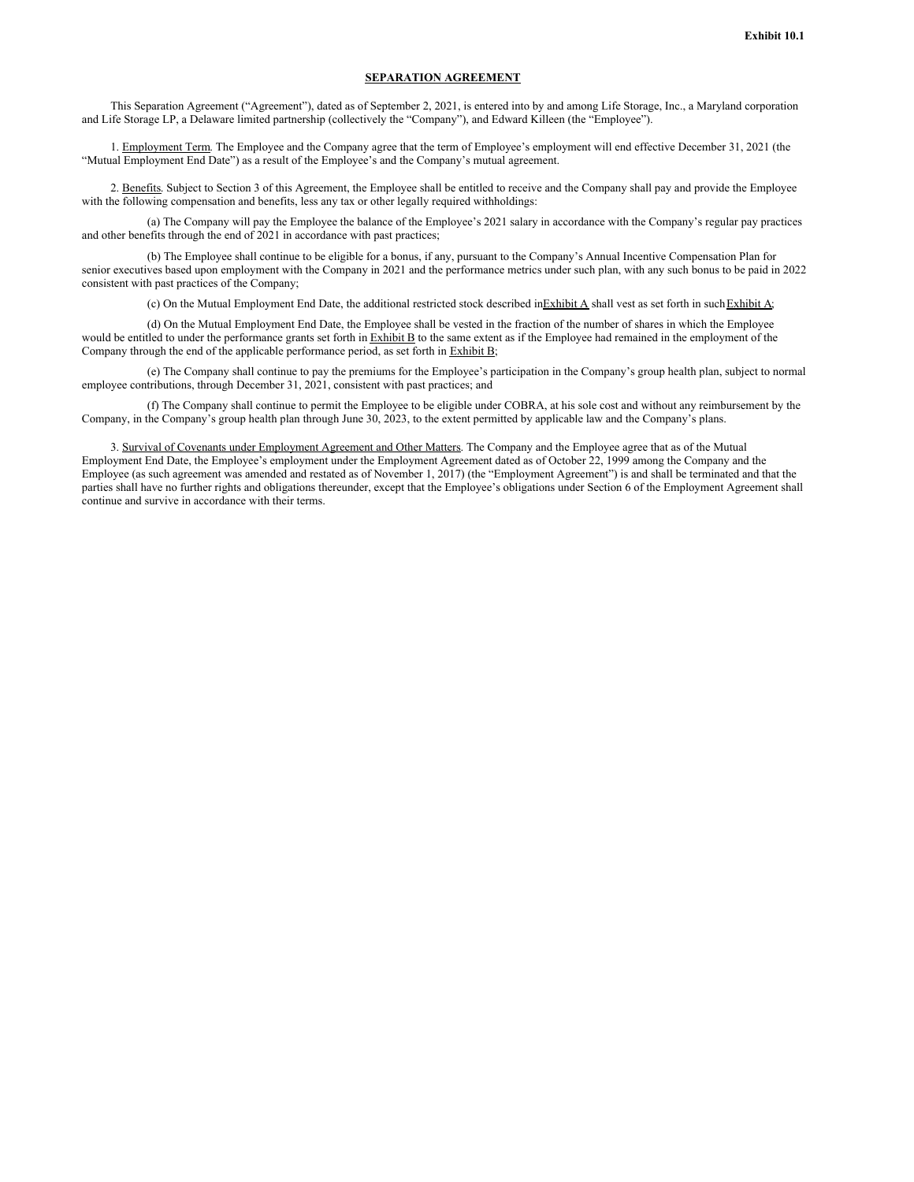#### **SEPARATION AGREEMENT**

This Separation Agreement ("Agreement"), dated as of September 2, 2021, is entered into by and among Life Storage, Inc., a Maryland corporation and Life Storage LP, a Delaware limited partnership (collectively the "Company"), and Edward Killeen (the "Employee").

1. Employment Term. The Employee and the Company agree that the term of Employee's employment will end effective December 31, 2021 (the "Mutual Employment End Date") as a result of the Employee's and the Company's mutual agreement.

2. Benefits. Subject to Section 3 of this Agreement, the Employee shall be entitled to receive and the Company shall pay and provide the Employee with the following compensation and benefits, less any tax or other legally required withholdings:

(a) The Company will pay the Employee the balance of the Employee's 2021 salary in accordance with the Company's regular pay practices and other benefits through the end of 2021 in accordance with past practices;

(b) The Employee shall continue to be eligible for a bonus, if any, pursuant to the Company's Annual Incentive Compensation Plan for senior executives based upon employment with the Company in 2021 and the performance metrics under such plan, with any such bonus to be paid in 2022 consistent with past practices of the Company;

(c) On the Mutual Employment End Date, the additional restricted stock described inExhibit A shall vest as set forth in such Exhibit A;

(d) On the Mutual Employment End Date, the Employee shall be vested in the fraction of the number of shares in which the Employee would be entitled to under the performance grants set forth in Exhibit B to the same extent as if the Employee had remained in the employment of the Company through the end of the applicable performance period, as set forth in Exhibit B;

(e) The Company shall continue to pay the premiums for the Employee's participation in the Company's group health plan, subject to normal employee contributions, through December 31, 2021, consistent with past practices; and

(f) The Company shall continue to permit the Employee to be eligible under COBRA, at his sole cost and without any reimbursement by the Company, in the Company's group health plan through June 30, 2023, to the extent permitted by applicable law and the Company's plans.

3. Survival of Covenants under Employment Agreement and Other Matters. The Company and the Employee agree that as of the Mutual Employment End Date, the Employee's employment under the Employment Agreement dated as of October 22, 1999 among the Company and the Employee (as such agreement was amended and restated as of November 1, 2017) (the "Employment Agreement") is and shall be terminated and that the parties shall have no further rights and obligations thereunder, except that the Employee's obligations under Section 6 of the Employment Agreement shall continue and survive in accordance with their terms.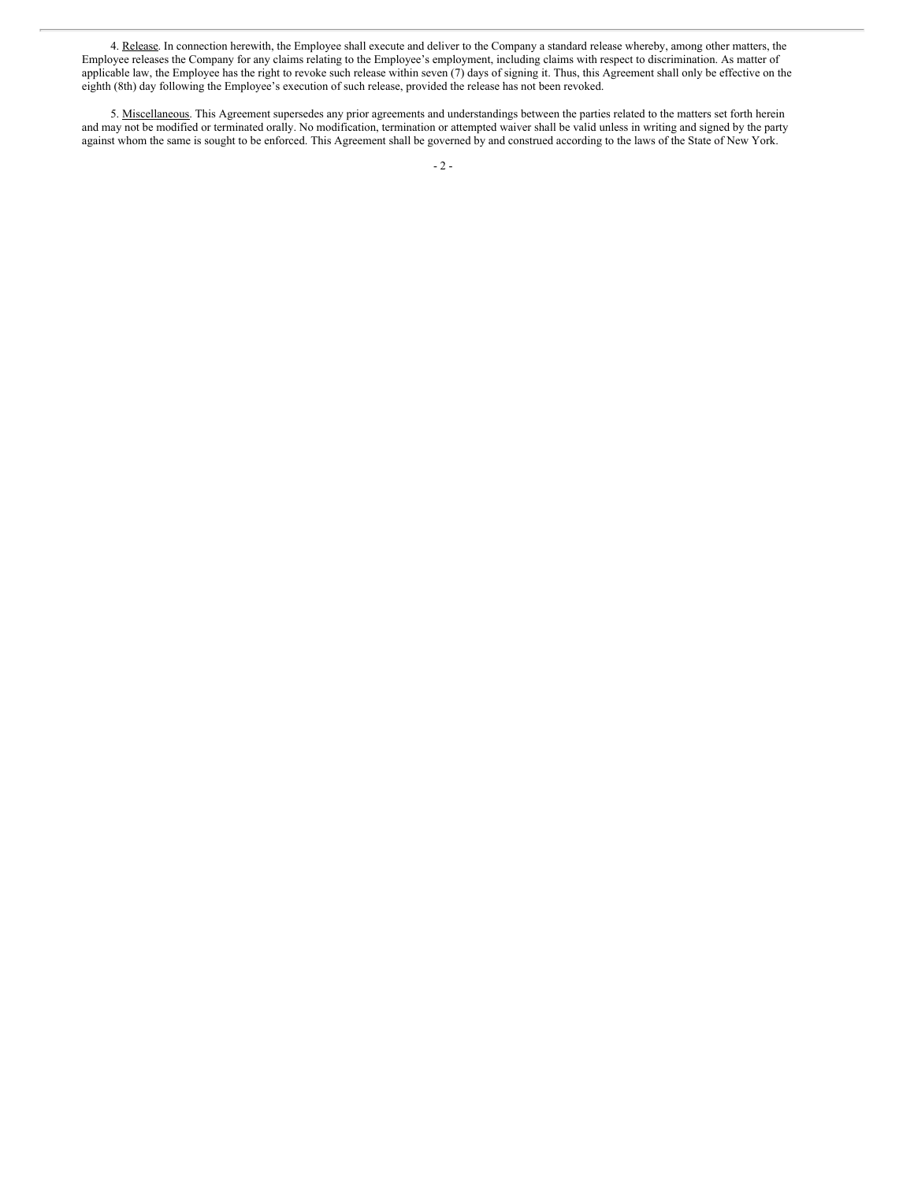4. Release. In connection herewith, the Employee shall execute and deliver to the Company a standard release whereby, among other matters, the Employee releases the Company for any claims relating to the Employee's employment, including claims with respect to discrimination. As matter of applicable law, the Employee has the right to revoke such release within seven (7) days of signing it. Thus, this Agreement shall only be effective on the eighth (8th) day following the Employee's execution of such release, provided the release has not been revoked.

5. Miscellaneous. This Agreement supersedes any prior agreements and understandings between the parties related to the matters set forth herein and may not be modified or terminated orally. No modification, termination or attempted waiver shall be valid unless in writing and signed by the party against whom the same is sought to be enforced. This Agreement shall be governed by and construed according to the laws of the State of New York.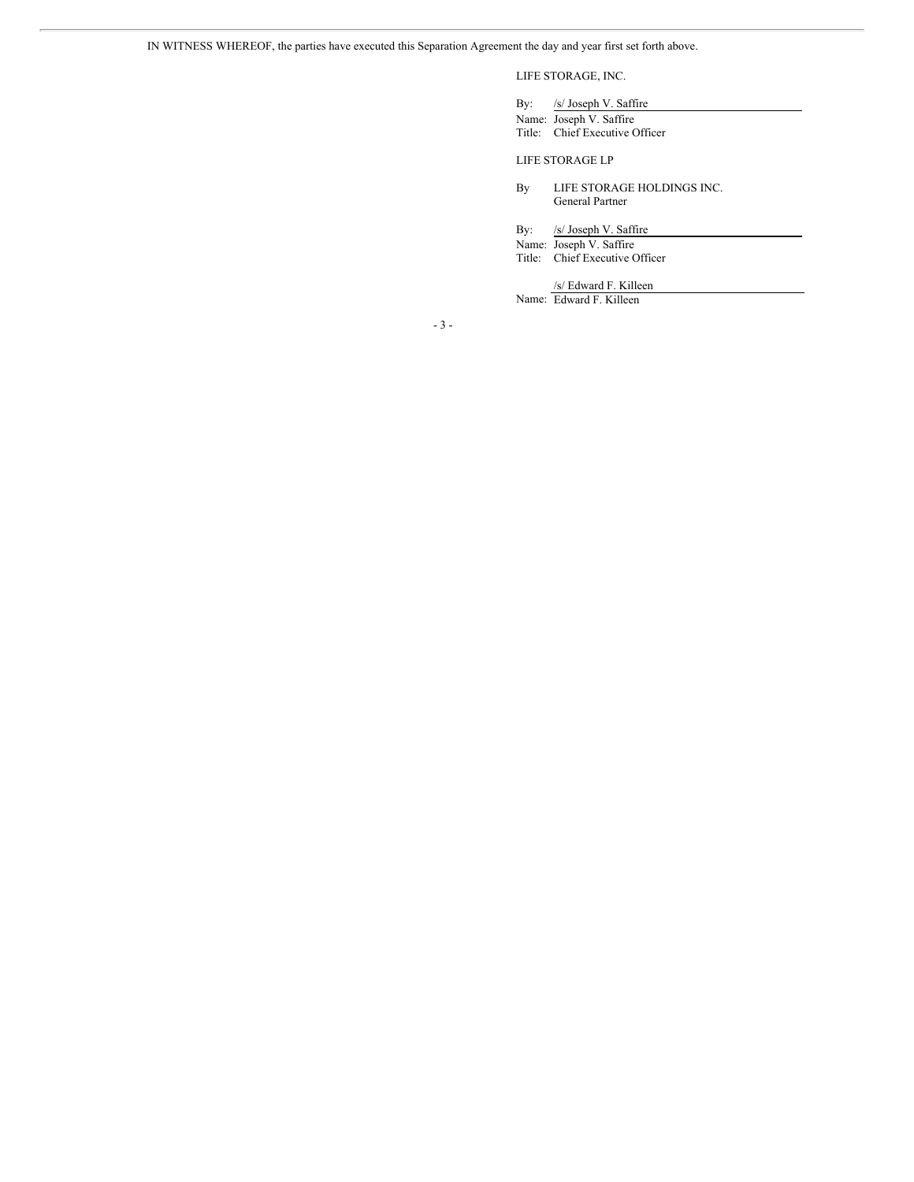# <span id="page-7-0"></span>LIFE STORAGE, INC.

By: /s/ Joseph V. Saffire Name: Joseph V. Saffire

Title: Chief Executive Officer

#### LIFE STORAGE LP

By LIFE STORAGE HOLDINGS INC. General Partner

By: /s/ Joseph V. Saffire

Name: Joseph V. Saffire Title: Chief Executive Officer

/s/ Edward F. Killeen

Name: Edward F. Killeen

- 3 -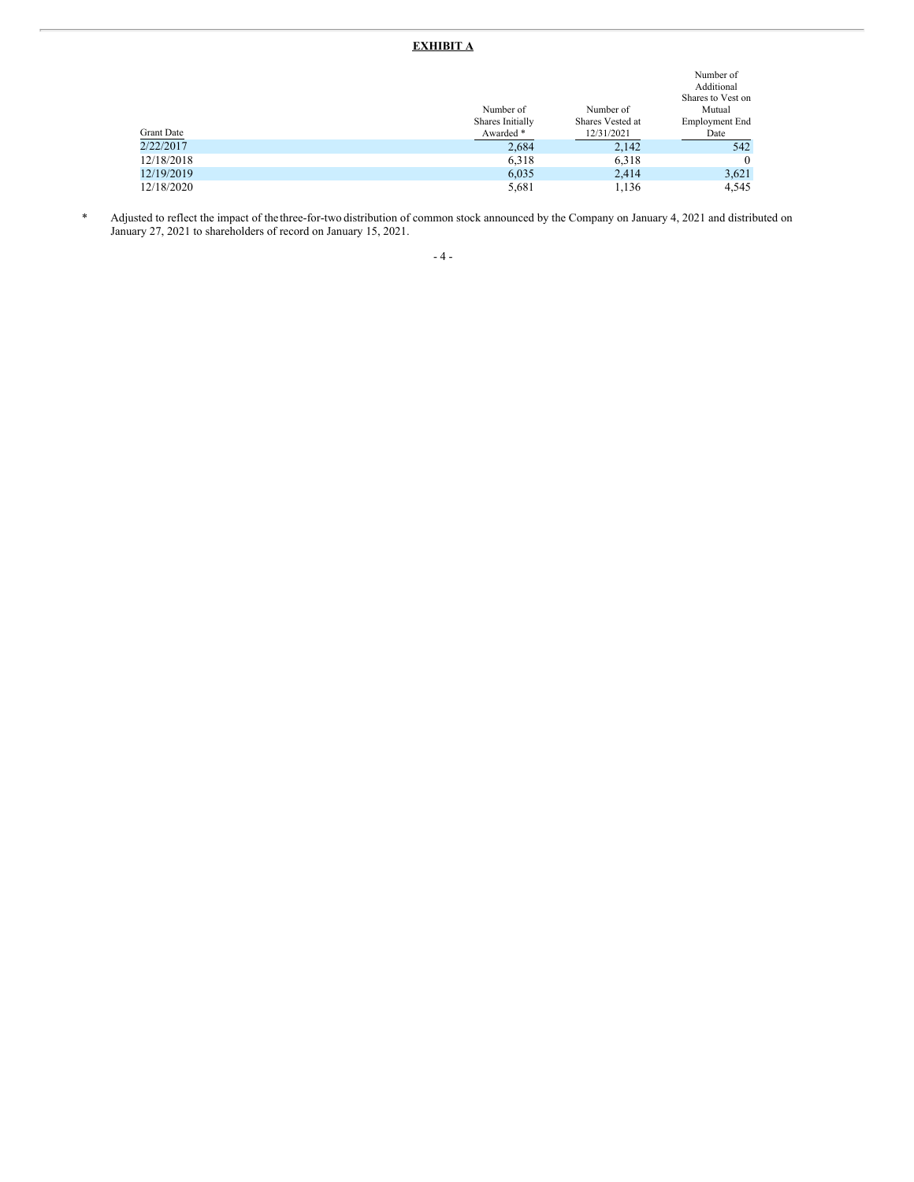# **EXHIBIT A**

|            | Number of<br>Shares Initially | Number of<br>Shares Vested at | Number of<br>Additional<br>Shares to Vest on<br>Mutual<br>Employment End |
|------------|-------------------------------|-------------------------------|--------------------------------------------------------------------------|
|            |                               |                               |                                                                          |
| Grant Date | Awarded *                     | 12/31/2021                    | Date                                                                     |
| 2/22/2017  | 2,684                         | 2,142                         | 542                                                                      |
| 12/18/2018 | 6,318                         | 6,318                         | $\mathbf{0}$                                                             |
| 12/19/2019 | 6,035                         | 2,414                         | 3,621                                                                    |
| 12/18/2020 | 5,681                         | 1,136                         | 4,545                                                                    |

\* Adjusted to reflect the impact of thethree-for-two distribution of common stock announced by the Company on January 4, 2021 and distributed on January 27, 2021 to shareholders of record on January 15, 2021.

# - 4 -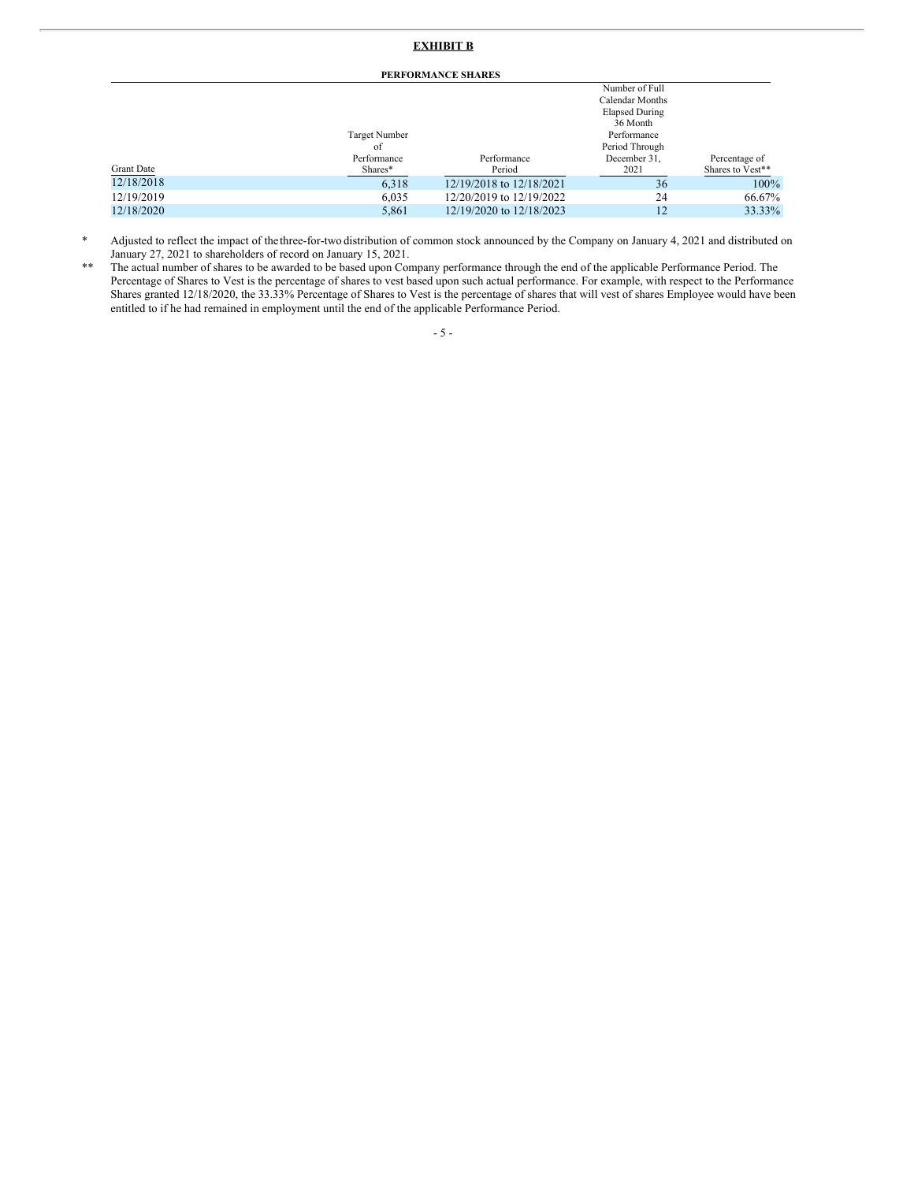## **EXHIBIT B**

**PERFORMANCE SHARES**

|            |               |                          | Number of Full        |                  |  |  |  |
|------------|---------------|--------------------------|-----------------------|------------------|--|--|--|
|            |               |                          | Calendar Months       |                  |  |  |  |
|            |               |                          | <b>Elapsed During</b> |                  |  |  |  |
|            |               |                          | 36 Month              |                  |  |  |  |
|            | Target Number |                          | Performance           |                  |  |  |  |
|            | of            |                          | Period Through        |                  |  |  |  |
|            | Performance   | Performance              | December 31,          | Percentage of    |  |  |  |
| Grant Date | Shares*       | Period                   | 2021                  | Shares to Vest** |  |  |  |
| 12/18/2018 | 6,318         | 12/19/2018 to 12/18/2021 | 36                    | $100\%$          |  |  |  |
| 12/19/2019 | 6,035         | 12/20/2019 to 12/19/2022 | 24                    | 66.67%           |  |  |  |
| 12/18/2020 | 5,861         | 12/19/2020 to 12/18/2023 | 12                    | 33.33%           |  |  |  |
|            |               |                          |                       |                  |  |  |  |

\* Adjusted to reflect the impact of thethree-for-two distribution of common stock announced by the Company on January 4, 2021 and distributed on January 27, 2021 to shareholders of record on January 15, 2021.

\*\* The actual number of shares to be awarded to be based upon Company performance through the end of the applicable Performance Period. The Percentage of Shares to Vest is the percentage of shares to vest based upon such actual performance. For example, with respect to the Performance Shares granted 12/18/2020, the 33.33% Percentage of Shares to Vest is the percentage of shares that will vest of shares Employee would have been entitled to if he had remained in employment until the end of the applicable Performance Period.

- 5 -